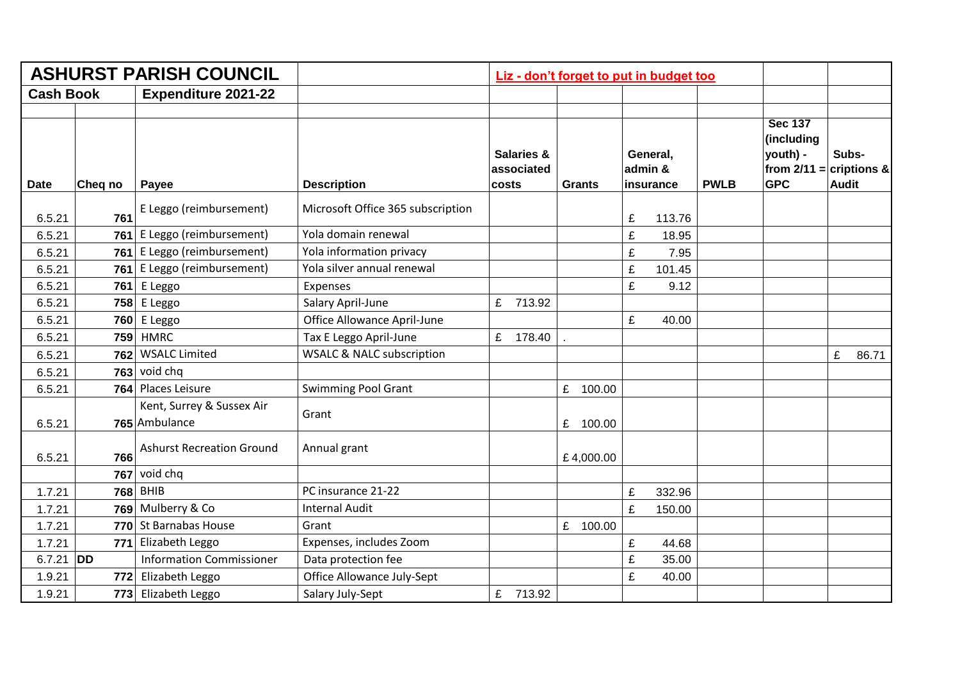|                  |           | <b>ASHURST PARISH COUNCIL</b>              |                                      | Liz - don't forget to put in budget too      |               |                                  |        |                                                     |  |                       |                             |
|------------------|-----------|--------------------------------------------|--------------------------------------|----------------------------------------------|---------------|----------------------------------|--------|-----------------------------------------------------|--|-----------------------|-----------------------------|
| <b>Cash Book</b> |           | <b>Expenditure 2021-22</b>                 |                                      |                                              |               |                                  |        |                                                     |  |                       |                             |
| <b>Date</b>      | Cheq no   | Payee                                      | <b>Description</b>                   | <b>Salaries &amp;</b><br>associated<br>costs | <b>Grants</b> | General,<br>admin &<br>insurance |        | (including<br>youth) -<br><b>GPC</b><br><b>PWLB</b> |  | Subs-<br><b>Audit</b> | from $2/11 =  $ criptions & |
| 6.5.21           | 761       | E Leggo (reimbursement)                    | Microsoft Office 365 subscription    |                                              |               | £                                | 113.76 |                                                     |  |                       |                             |
| 6.5.21           | 761       | E Leggo (reimbursement)                    | Yola domain renewal                  |                                              |               | £                                | 18.95  |                                                     |  |                       |                             |
| 6.5.21           | 761       | E Leggo (reimbursement)                    | Yola information privacy             |                                              |               | £                                | 7.95   |                                                     |  |                       |                             |
| 6.5.21           | 761       | E Leggo (reimbursement)                    | Yola silver annual renewal           |                                              |               | £                                | 101.45 |                                                     |  |                       |                             |
| 6.5.21           | 761       | E Leggo                                    | Expenses                             |                                              |               | £                                | 9.12   |                                                     |  |                       |                             |
| 6.5.21           | 758       | E Leggo                                    | Salary April-June                    | £ 713.92                                     |               |                                  |        |                                                     |  |                       |                             |
| 6.5.21           |           | 760 E Leggo                                | Office Allowance April-June          |                                              |               | £                                | 40.00  |                                                     |  |                       |                             |
| 6.5.21           | 759       | <b>HMRC</b>                                | Tax E Leggo April-June               | £ 178.40                                     |               |                                  |        |                                                     |  |                       |                             |
| 6.5.21           | 762       | <b>WSALC Limited</b>                       | <b>WSALC &amp; NALC subscription</b> |                                              |               |                                  |        |                                                     |  | £                     | 86.71                       |
| 6.5.21           | 763       | void chq                                   |                                      |                                              |               |                                  |        |                                                     |  |                       |                             |
| 6.5.21           |           | 764 Places Leisure                         | <b>Swimming Pool Grant</b>           |                                              | £ 100.00      |                                  |        |                                                     |  |                       |                             |
| 6.5.21           |           | Kent, Surrey & Sussex Air<br>765 Ambulance | Grant                                |                                              | £<br>100.00   |                                  |        |                                                     |  |                       |                             |
| 6.5.21           | 766       | <b>Ashurst Recreation Ground</b>           | Annual grant                         |                                              | £4,000.00     |                                  |        |                                                     |  |                       |                             |
|                  | 767       | void chq                                   |                                      |                                              |               |                                  |        |                                                     |  |                       |                             |
| 1.7.21           | 768       | <b>BHIB</b>                                | PC insurance 21-22                   |                                              |               | £                                | 332.96 |                                                     |  |                       |                             |
| 1.7.21           | 769       | Mulberry & Co                              | <b>Internal Audit</b>                |                                              |               | £                                | 150.00 |                                                     |  |                       |                             |
| 1.7.21           |           | 770 St Barnabas House                      | Grant                                |                                              | £<br>100.00   |                                  |        |                                                     |  |                       |                             |
| 1.7.21           | 771       | Elizabeth Leggo                            | Expenses, includes Zoom              |                                              |               | £                                | 44.68  |                                                     |  |                       |                             |
| 6.7.21           | <b>DD</b> | <b>Information Commissioner</b>            | Data protection fee                  |                                              |               | £                                | 35.00  |                                                     |  |                       |                             |
| 1.9.21           |           | 772 Elizabeth Leggo                        | Office Allowance July-Sept           |                                              |               | £                                | 40.00  |                                                     |  |                       |                             |
| 1.9.21           |           | 773 Elizabeth Leggo                        | Salary July-Sept                     | £ 713.92                                     |               |                                  |        |                                                     |  |                       |                             |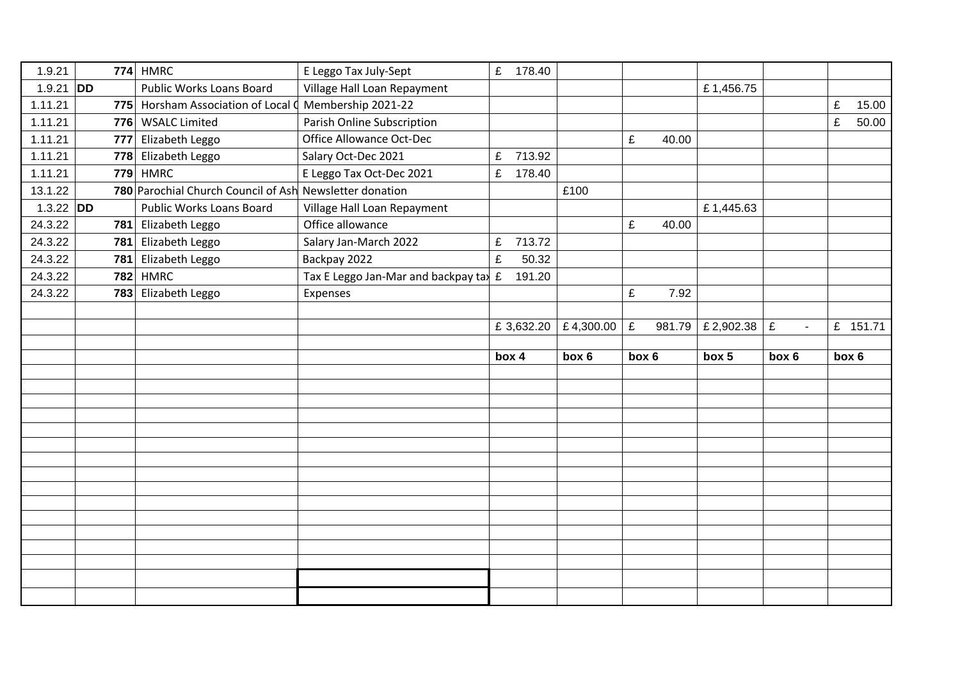| 1.9.21       |     | $774$ HMRC                                              | E Leggo Tax July-Sept                                  | £ 178.40    |       |                         |       |       |                     |                   |       |          |
|--------------|-----|---------------------------------------------------------|--------------------------------------------------------|-------------|-------|-------------------------|-------|-------|---------------------|-------------------|-------|----------|
| 1.9.21 $ DD$ |     | <b>Public Works Loans Board</b>                         | Village Hall Loan Repayment                            |             |       |                         |       |       | £1,456.75           |                   |       |          |
| 1.11.21      |     | 775 Horsham Association of Local Q                      | Membership 2021-22                                     |             |       |                         |       |       |                     |                   | £     | 15.00    |
| 1.11.21      |     | 776 WSALC Limited                                       | Parish Online Subscription                             |             |       |                         |       |       |                     |                   | £     | 50.00    |
| 1.11.21      | 777 | Elizabeth Leggo                                         | <b>Office Allowance Oct-Dec</b>                        |             |       |                         | £     | 40.00 |                     |                   |       |          |
| 1.11.21      |     | 778 Elizabeth Leggo                                     | Salary Oct-Dec 2021                                    | 713.92<br>£ |       |                         |       |       |                     |                   |       |          |
| 1.11.21      |     | <b>779 HMRC</b>                                         | E Leggo Tax Oct-Dec 2021                               | E<br>178.40 |       |                         |       |       |                     |                   |       |          |
| 13.1.22      |     | 780 Parochial Church Council of Ash Newsletter donation |                                                        |             |       | £100                    |       |       |                     |                   |       |          |
| $1.3.22$ DD  |     | <b>Public Works Loans Board</b>                         | Village Hall Loan Repayment                            |             |       |                         |       |       | £1,445.63           |                   |       |          |
| 24.3.22      |     | 781 Elizabeth Leggo                                     | Office allowance                                       |             |       |                         | £     | 40.00 |                     |                   |       |          |
| 24.3.22      | 781 | Elizabeth Leggo                                         | Salary Jan-March 2022                                  | £<br>713.72 |       |                         |       |       |                     |                   |       |          |
| 24.3.22      | 781 | Elizabeth Leggo                                         | Backpay 2022                                           | £           | 50.32 |                         |       |       |                     |                   |       |          |
| 24.3.22      | 782 | <b>HMRC</b>                                             | Tax E Leggo Jan-Mar and backpay tax $\mathbf{\pounds}$ | 191.20      |       |                         |       |       |                     |                   |       |          |
| 24.3.22      |     | 783 Elizabeth Leggo                                     | Expenses                                               |             |       |                         | £     | 7.92  |                     |                   |       |          |
|              |     |                                                         |                                                        |             |       |                         |       |       |                     |                   |       |          |
|              |     |                                                         |                                                        |             |       | £ 3,632.20   £ 4,300.00 | £     |       | 981.79   £ 2,902.38 | £<br>$\mathbf{r}$ |       | £ 151.71 |
|              |     |                                                         |                                                        |             |       |                         |       |       |                     |                   |       |          |
|              |     |                                                         |                                                        |             |       |                         |       |       |                     |                   |       |          |
|              |     |                                                         |                                                        | box 4       |       | box 6                   | box 6 |       | box 5               | box 6             | box 6 |          |
|              |     |                                                         |                                                        |             |       |                         |       |       |                     |                   |       |          |
|              |     |                                                         |                                                        |             |       |                         |       |       |                     |                   |       |          |
|              |     |                                                         |                                                        |             |       |                         |       |       |                     |                   |       |          |
|              |     |                                                         |                                                        |             |       |                         |       |       |                     |                   |       |          |
|              |     |                                                         |                                                        |             |       |                         |       |       |                     |                   |       |          |
|              |     |                                                         |                                                        |             |       |                         |       |       |                     |                   |       |          |
|              |     |                                                         |                                                        |             |       |                         |       |       |                     |                   |       |          |
|              |     |                                                         |                                                        |             |       |                         |       |       |                     |                   |       |          |
|              |     |                                                         |                                                        |             |       |                         |       |       |                     |                   |       |          |
|              |     |                                                         |                                                        |             |       |                         |       |       |                     |                   |       |          |
|              |     |                                                         |                                                        |             |       |                         |       |       |                     |                   |       |          |
|              |     |                                                         |                                                        |             |       |                         |       |       |                     |                   |       |          |
|              |     |                                                         |                                                        |             |       |                         |       |       |                     |                   |       |          |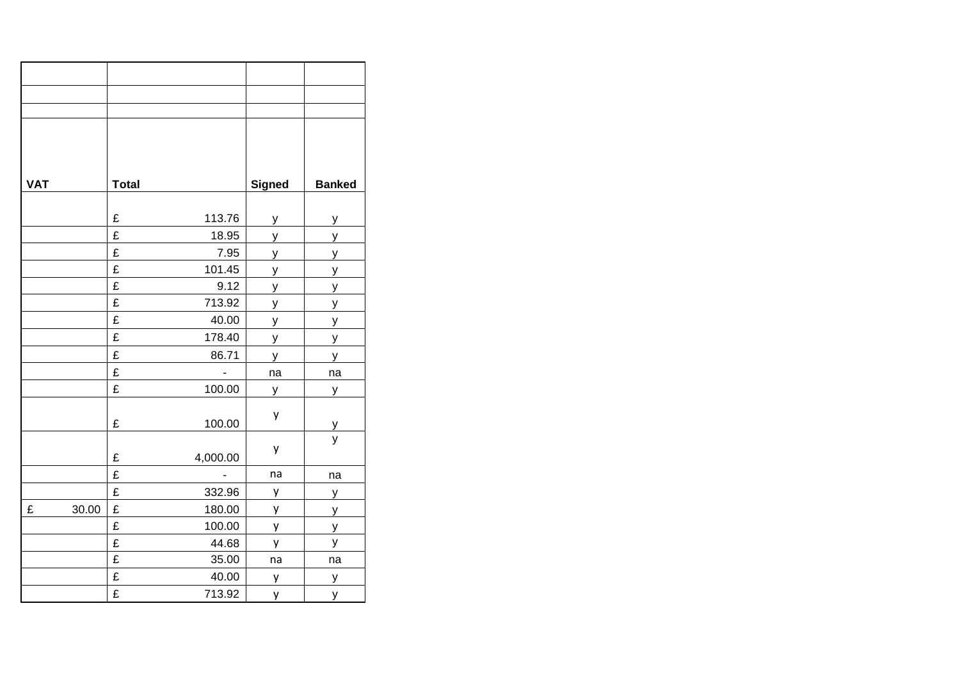| <b>VAT</b> |       | <b>Total</b>            |                | <b>Signed</b> | <b>Banked</b> |
|------------|-------|-------------------------|----------------|---------------|---------------|
|            |       |                         |                |               |               |
|            |       | £                       | 113.76         | y             | $\mathsf{y}$  |
|            |       | £                       | 18.95          | y             | y             |
|            |       | £                       | 7.95           | У             | У             |
|            |       | £                       | 101.45         | y             | $\mathsf{y}$  |
|            |       | £                       | 9.12           | y             | y             |
|            |       | £                       | 713.92         | У             | y             |
|            |       | £                       | 40.00          | У             | У             |
|            |       | £                       | 178.40         | y             | У             |
|            |       | £                       | 86.71          | y             | y             |
|            |       | £                       | $\blacksquare$ | na            | na            |
|            |       | £                       | 100.00         | У             | У             |
|            |       | £                       | 100.00         | у             | $\mathsf{y}$  |
|            |       |                         |                |               | y             |
|            |       | £                       | 4,000.00       | у             |               |
|            |       | £                       | $\Box$         | na            | na            |
|            |       | £                       | 332.96         | у             | y             |
| £          | 30.00 | £                       | 180.00         | y             | У             |
|            |       | £                       | 100.00         | y             | y             |
|            |       | £                       | 44.68          | y             | У             |
|            |       | $\overline{\mathbf{f}}$ | 35.00          | na            | na            |
|            |       | £                       | 40.00          | y             | y             |
|            |       | £                       | 713.92         | у             | y             |